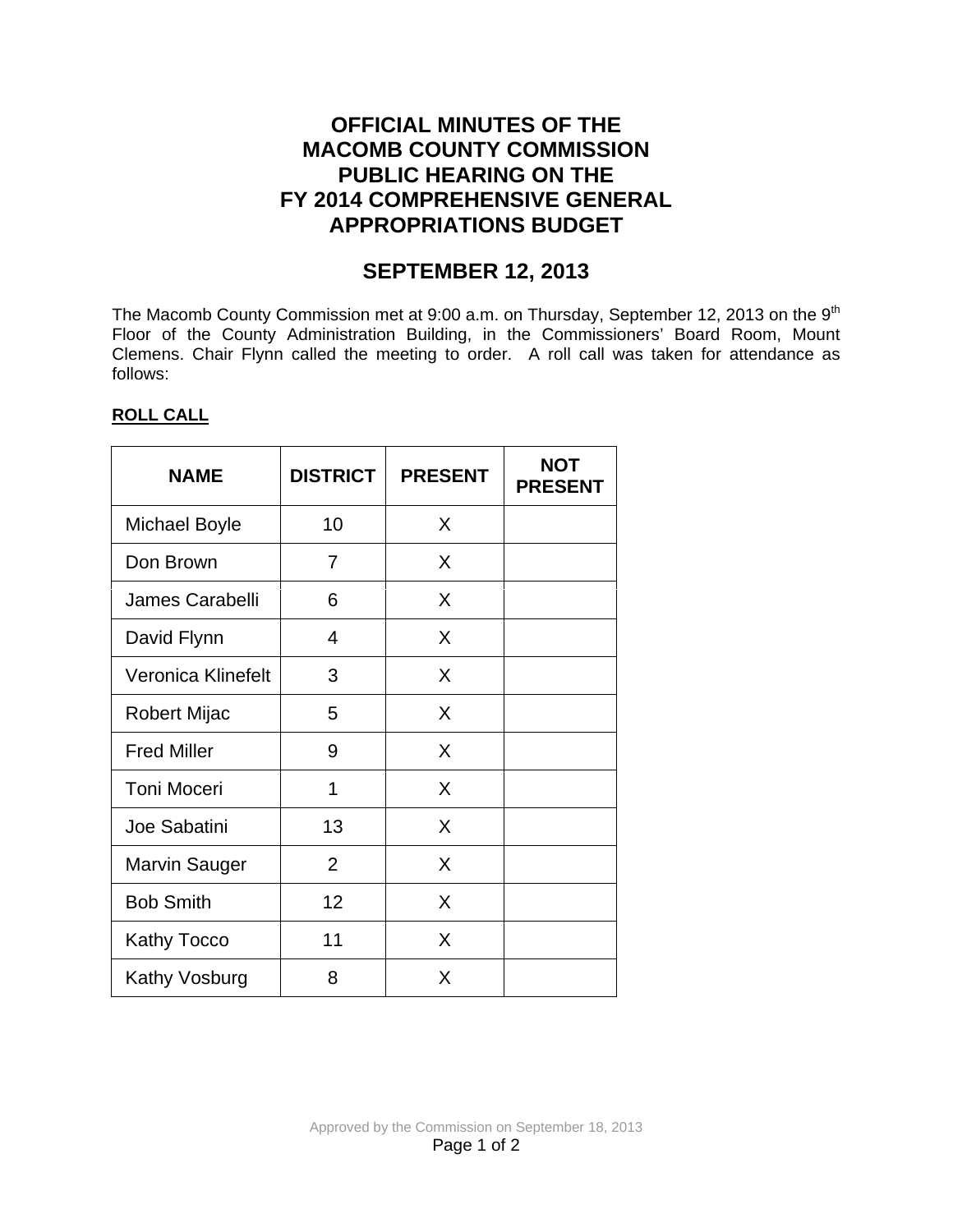# **OFFICIAL MINUTES OF THE MACOMB COUNTY COMMISSION PUBLIC HEARING ON THE FY 2014 COMPREHENSIVE GENERAL APPROPRIATIONS BUDGET**

# **SEPTEMBER 12, 2013**

The Macomb County Commission met at 9:00 a.m. on Thursday, September 12, 2013 on the 9<sup>th</sup> Floor of the County Administration Building, in the Commissioners' Board Room, Mount Clemens. Chair Flynn called the meeting to order. A roll call was taken for attendance as follows:

## **ROLL CALL**

| <b>NAME</b>          | <b>DISTRICT</b> | <b>PRESENT</b> | <b>NOT</b><br><b>PRESENT</b> |
|----------------------|-----------------|----------------|------------------------------|
| <b>Michael Boyle</b> | 10              | X              |                              |
| Don Brown            | 7               | X              |                              |
| James Carabelli      | 6               | X              |                              |
| David Flynn          | 4               | X              |                              |
| Veronica Klinefelt   | 3               | X              |                              |
| Robert Mijac         | 5               | X              |                              |
| <b>Fred Miller</b>   | 9               | X              |                              |
| <b>Toni Moceri</b>   | 1               | X              |                              |
| Joe Sabatini         | 13              | X              |                              |
| Marvin Sauger        | $\overline{2}$  | X              |                              |
| <b>Bob Smith</b>     | 12              | X              |                              |
| <b>Kathy Tocco</b>   | 11              | X              |                              |
| Kathy Vosburg        | 8               | X              |                              |